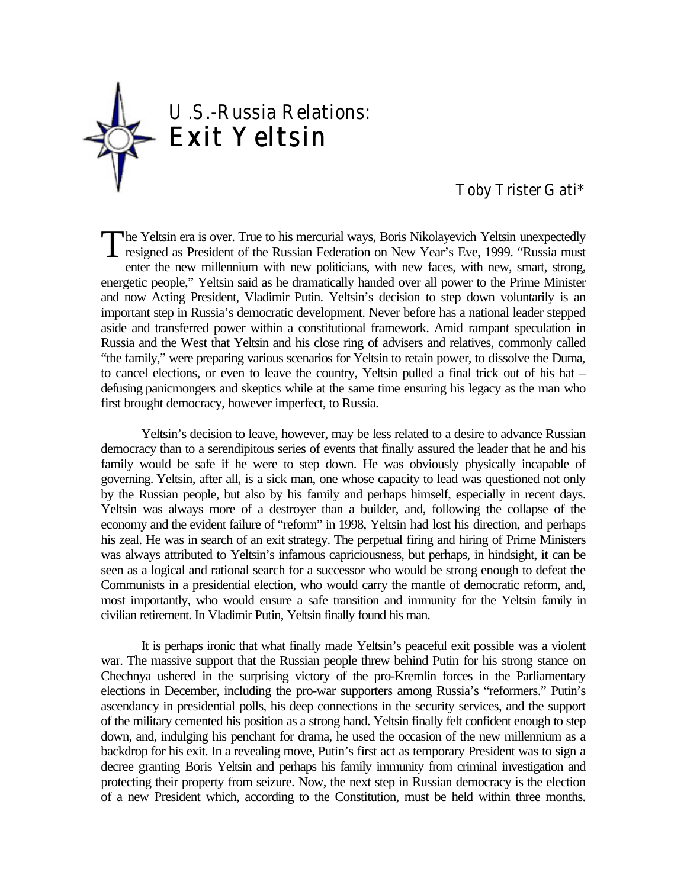

# Toby Trister Gati\*

he Yeltsin era is over. True to his mercurial ways, Boris Nikolayevich Yeltsin unexpectedly The Yeltsin era is over. True to his mercurial ways, Boris Nikolayevich Yeltsin unexpectedly<br>resigned as President of the Russian Federation on New Year's Eve, 1999. "Russia must<br>note that were will write the same will wri enter the new millennium with new politicians, with new faces, with new, smart, strong, energetic people," Yeltsin said as he dramatically handed over all power to the Prime Minister and now Acting President, Vladimir Putin. Yeltsin's decision to step down voluntarily is an important step in Russia's democratic development. Never before has a national leader stepped aside and transferred power within a constitutional framework. Amid rampant speculation in Russia and the West that Yeltsin and his close ring of advisers and relatives, commonly called "the family," were preparing various scenarios for Yeltsin to retain power, to dissolve the Duma, to cancel elections, or even to leave the country, Yeltsin pulled a final trick out of his hat – defusing panicmongers and skeptics while at the same time ensuring his legacy as the man who first brought democracy, however imperfect, to Russia.

Yeltsin's decision to leave, however, may be less related to a desire to advance Russian democracy than to a serendipitous series of events that finally assured the leader that he and his family would be safe if he were to step down. He was obviously physically incapable of governing. Yeltsin, after all, is a sick man, one whose capacity to lead was questioned not only by the Russian people, but also by his family and perhaps himself, especially in recent days. Yeltsin was always more of a destroyer than a builder, and, following the collapse of the economy and the evident failure of "reform" in 1998, Yeltsin had lost his direction, and perhaps his zeal. He was in search of an exit strategy. The perpetual firing and hiring of Prime Ministers was always attributed to Yeltsin's infamous capriciousness, but perhaps, in hindsight, it can be seen as a logical and rational search for a successor who would be strong enough to defeat the Communists in a presidential election, who would carry the mantle of democratic reform, and, most importantly, who would ensure a safe transition and immunity for the Yeltsin family in civilian retirement. In Vladimir Putin, Yeltsin finally found his man.

It is perhaps ironic that what finally made Yeltsin's peaceful exit possible was a violent war. The massive support that the Russian people threw behind Putin for his strong stance on Chechnya ushered in the surprising victory of the pro-Kremlin forces in the Parliamentary elections in December, including the pro-war supporters among Russia's "reformers." Putin's ascendancy in presidential polls, his deep connections in the security services, and the support of the military cemented his position as a strong hand. Yeltsin finally felt confident enough to step down, and, indulging his penchant for drama, he used the occasion of the new millennium as a backdrop for his exit. In a revealing move, Putin's first act as temporary President was to sign a decree granting Boris Yeltsin and perhaps his family immunity from criminal investigation and protecting their property from seizure. Now, the next step in Russian democracy is the election of a new President which, according to the Constitution, must be held within three months.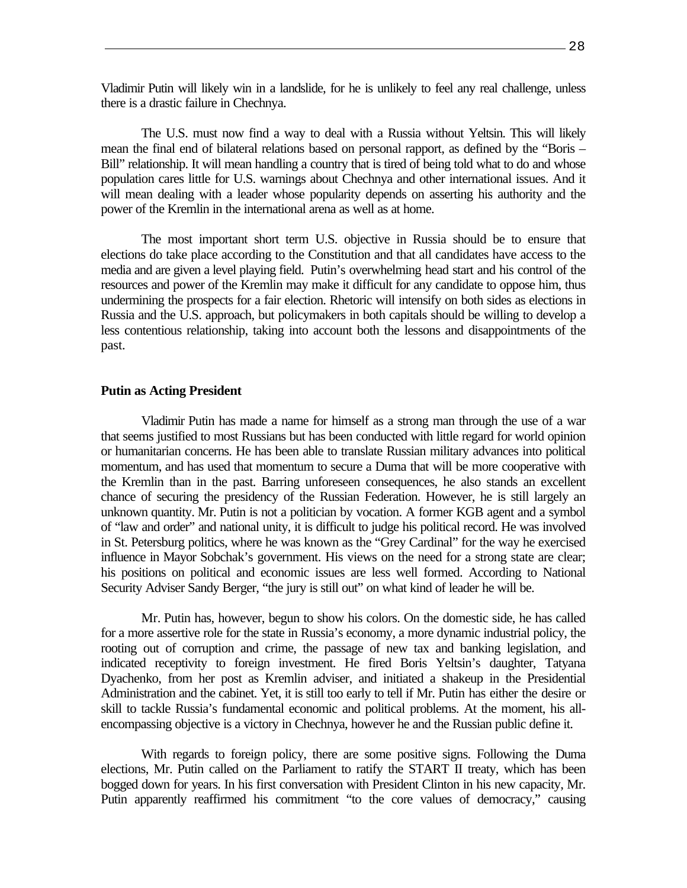Vladimir Putin will likely win in a landslide, for he is unlikely to feel any real challenge, unless there is a drastic failure in Chechnya.

The U.S. must now find a way to deal with a Russia without Yeltsin. This will likely mean the final end of bilateral relations based on personal rapport, as defined by the "Boris – Bill" relationship. It will mean handling a country that is tired of being told what to do and whose population cares little for U.S. warnings about Chechnya and other international issues. And it will mean dealing with a leader whose popularity depends on asserting his authority and the power of the Kremlin in the international arena as well as at home.

The most important short term U.S. objective in Russia should be to ensure that elections do take place according to the Constitution and that all candidates have access to the media and are given a level playing field. Putin's overwhelming head start and his control of the resources and power of the Kremlin may make it difficult for any candidate to oppose him, thus undermining the prospects for a fair election. Rhetoric will intensify on both sides as elections in Russia and the U.S. approach, but policymakers in both capitals should be willing to develop a less contentious relationship, taking into account both the lessons and disappointments of the past.

#### **Putin as Acting President**

Vladimir Putin has made a name for himself as a strong man through the use of a war that seems justified to most Russians but has been conducted with little regard for world opinion or humanitarian concerns. He has been able to translate Russian military advances into political momentum, and has used that momentum to secure a Duma that will be more cooperative with the Kremlin than in the past. Barring unforeseen consequences, he also stands an excellent chance of securing the presidency of the Russian Federation. However, he is still largely an unknown quantity. Mr. Putin is not a politician by vocation. A former KGB agent and a symbol of "law and order" and national unity, it is difficult to judge his political record. He was involved in St. Petersburg politics, where he was known as the "Grey Cardinal" for the way he exercised influence in Mayor Sobchak's government. His views on the need for a strong state are clear; his positions on political and economic issues are less well formed. According to National Security Adviser Sandy Berger, "the jury is still out" on what kind of leader he will be.

Mr. Putin has, however, begun to show his colors. On the domestic side, he has called for a more assertive role for the state in Russia's economy, a more dynamic industrial policy, the rooting out of corruption and crime, the passage of new tax and banking legislation, and indicated receptivity to foreign investment. He fired Boris Yeltsin's daughter, Tatyana Dyachenko, from her post as Kremlin adviser, and initiated a shakeup in the Presidential Administration and the cabinet. Yet, it is still too early to tell if Mr. Putin has either the desire or skill to tackle Russia's fundamental economic and political problems. At the moment, his allencompassing objective is a victory in Chechnya, however he and the Russian public define it.

With regards to foreign policy, there are some positive signs. Following the Duma elections, Mr. Putin called on the Parliament to ratify the START II treaty, which has been bogged down for years. In his first conversation with President Clinton in his new capacity, Mr. Putin apparently reaffirmed his commitment "to the core values of democracy," causing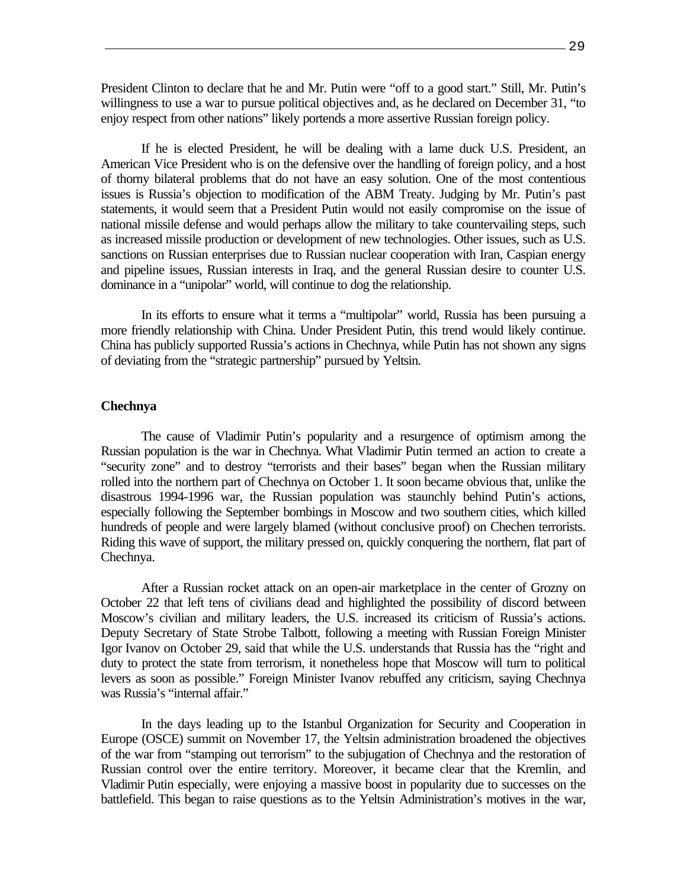President Clinton to declare that he and Mr. Putin were "off to a good start." Still, Mr. Putin's willingness to use a war to pursue political objectives and, as he declared on December 31, "to enjoy respect from other nations" likely portends a more assertive Russian foreign policy.

If he is elected President, he will be dealing with a lame duck U.S. President, an American Vice President who is on the defensive over the handling of foreign policy, and a host of thorny bilateral problems that do not have an easy solution. One of the most contentious issues is Russia's objection to modification of the ABM Treaty. Judging by Mr. Putin's past statements, it would seem that a President Putin would not easily compromise on the issue of national missile defense and would perhaps allow the military to take countervailing steps, such as increased missile production or development of new technologies. Other issues, such as U.S. sanctions on Russian enterprises due to Russian nuclear cooperation with Iran, Caspian energy and pipeline issues, Russian interests in Iraq, and the general Russian desire to counter U.S. dominance in a "unipolar" world, will continue to dog the relationship.

In its efforts to ensure what it terms a "multipolar" world, Russia has been pursuing a more friendly relationship with China. Under President Putin, this trend would likely continue. China has publicly supported Russia's actions in Chechnya, while Putin has not shown any signs of deviating from the "strategic partnership" pursued by Yeltsin.

### **Chechnya**

The cause of Vladimir Putin's popularity and a resurgence of optimism among the Russian population is the war in Chechnya. What Vladimir Putin termed an action to create a "security zone" and to destroy "terrorists and their bases" began when the Russian military rolled into the northern part of Chechnya on October 1. It soon became obvious that, unlike the disastrous 1994-1996 war, the Russian population was staunchly behind Putin's actions, especially following the September bombings in Moscow and two southern cities, which killed hundreds of people and were largely blamed (without conclusive proof) on Chechen terrorists. Riding this wave of support, the military pressed on, quickly conquering the northern, flat part of Chechnya.

After a Russian rocket attack on an open-air marketplace in the center of Grozny on October 22 that left tens of civilians dead and highlighted the possibility of discord between Moscow's civilian and military leaders, the U.S. increased its criticism of Russia's actions. Deputy Secretary of State Strobe Talbott, following a meeting with Russian Foreign Minister Igor Ivanov on October 29, said that while the U.S. understands that Russia has the "right and duty to protect the state from terrorism, it nonetheless hope that Moscow will turn to political levers as soon as possible." Foreign Minister Ivanov rebuffed any criticism, saying Chechnya was Russia's "internal affair."

In the days leading up to the Istanbul Organization for Security and Cooperation in Europe (OSCE) summit on November 17, the Yeltsin administration broadened the objectives of the war from "stamping out terrorism" to the subjugation of Chechnya and the restoration of Russian control over the entire territory. Moreover, it became clear that the Kremlin, and Vladimir Putin especially, were enjoying a massive boost in popularity due to successes on the battlefield. This began to raise questions as to the Yeltsin Administration's motives in the war,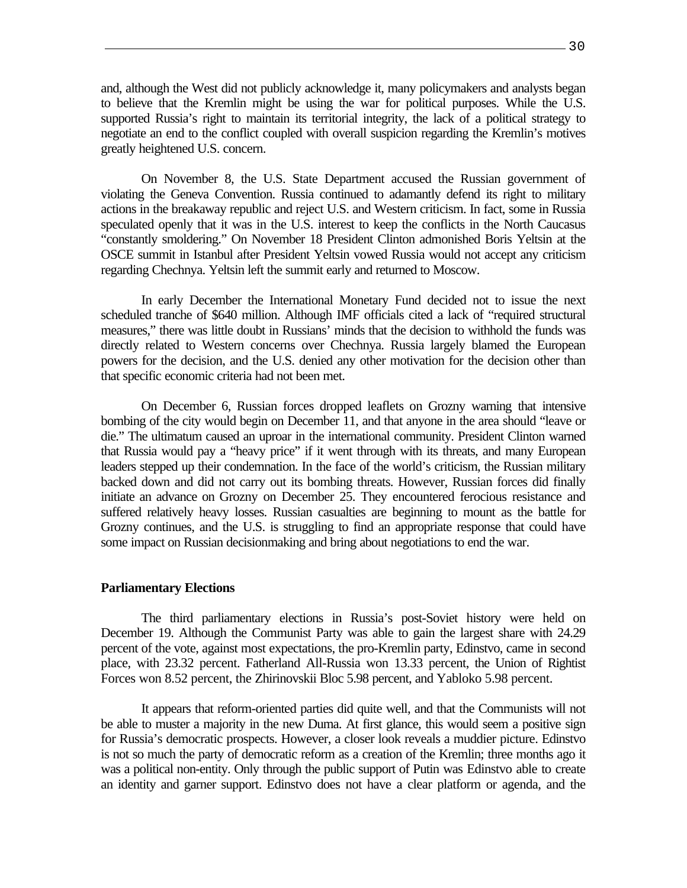and, although the West did not publicly acknowledge it, many policymakers and analysts began to believe that the Kremlin might be using the war for political purposes. While the U.S. supported Russia's right to maintain its territorial integrity, the lack of a political strategy to negotiate an end to the conflict coupled with overall suspicion regarding the Kremlin's motives greatly heightened U.S. concern.

On November 8, the U.S. State Department accused the Russian government of violating the Geneva Convention. Russia continued to adamantly defend its right to military actions in the breakaway republic and reject U.S. and Western criticism. In fact, some in Russia speculated openly that it was in the U.S. interest to keep the conflicts in the North Caucasus "constantly smoldering." On November 18 President Clinton admonished Boris Yeltsin at the OSCE summit in Istanbul after President Yeltsin vowed Russia would not accept any criticism regarding Chechnya. Yeltsin left the summit early and returned to Moscow.

In early December the International Monetary Fund decided not to issue the next scheduled tranche of \$640 million. Although IMF officials cited a lack of "required structural measures," there was little doubt in Russians' minds that the decision to withhold the funds was directly related to Western concerns over Chechnya. Russia largely blamed the European powers for the decision, and the U.S. denied any other motivation for the decision other than that specific economic criteria had not been met.

On December 6, Russian forces dropped leaflets on Grozny warning that intensive bombing of the city would begin on December 11, and that anyone in the area should "leave or die." The ultimatum caused an uproar in the international community. President Clinton warned that Russia would pay a "heavy price" if it went through with its threats, and many European leaders stepped up their condemnation. In the face of the world's criticism, the Russian military backed down and did not carry out its bombing threats. However, Russian forces did finally initiate an advance on Grozny on December 25. They encountered ferocious resistance and suffered relatively heavy losses. Russian casualties are beginning to mount as the battle for Grozny continues, and the U.S. is struggling to find an appropriate response that could have some impact on Russian decisionmaking and bring about negotiations to end the war.

#### **Parliamentary Elections**

The third parliamentary elections in Russia's post-Soviet history were held on December 19. Although the Communist Party was able to gain the largest share with 24.29 percent of the vote, against most expectations, the pro-Kremlin party, Edinstvo, came in second place, with 23.32 percent. Fatherland All-Russia won 13.33 percent, the Union of Rightist Forces won 8.52 percent, the Zhirinovskii Bloc 5.98 percent, and Yabloko 5.98 percent.

It appears that reform-oriented parties did quite well, and that the Communists will not be able to muster a majority in the new Duma. At first glance, this would seem a positive sign for Russia's democratic prospects. However, a closer look reveals a muddier picture. Edinstvo is not so much the party of democratic reform as a creation of the Kremlin; three months ago it was a political non-entity. Only through the public support of Putin was Edinstvo able to create an identity and garner support. Edinstvo does not have a clear platform or agenda, and the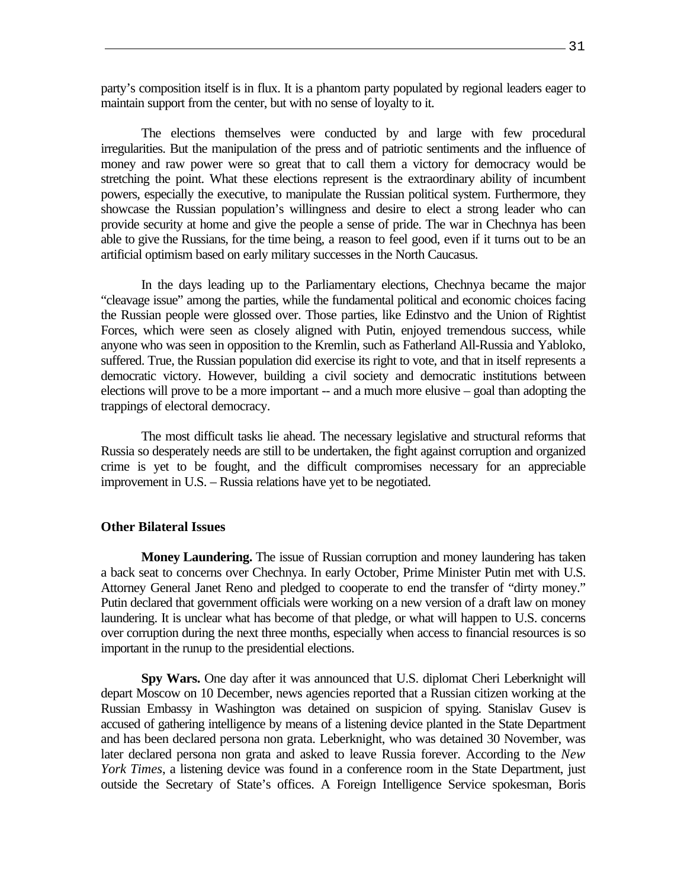party's composition itself is in flux. It is a phantom party populated by regional leaders eager to maintain support from the center, but with no sense of loyalty to it.

The elections themselves were conducted by and large with few procedural irregularities. But the manipulation of the press and of patriotic sentiments and the influence of money and raw power were so great that to call them a victory for democracy would be stretching the point. What these elections represent is the extraordinary ability of incumbent powers, especially the executive, to manipulate the Russian political system. Furthermore, they showcase the Russian population's willingness and desire to elect a strong leader who can provide security at home and give the people a sense of pride. The war in Chechnya has been able to give the Russians, for the time being, a reason to feel good, even if it turns out to be an artificial optimism based on early military successes in the North Caucasus.

In the days leading up to the Parliamentary elections, Chechnya became the major "cleavage issue" among the parties, while the fundamental political and economic choices facing the Russian people were glossed over. Those parties, like Edinstvo and the Union of Rightist Forces, which were seen as closely aligned with Putin, enjoyed tremendous success, while anyone who was seen in opposition to the Kremlin, such as Fatherland All-Russia and Yabloko, suffered. True, the Russian population did exercise its right to vote, and that in itself represents a democratic victory. However, building a civil society and democratic institutions between elections will prove to be a more important -- and a much more elusive – goal than adopting the trappings of electoral democracy.

The most difficult tasks lie ahead. The necessary legislative and structural reforms that Russia so desperately needs are still to be undertaken, the fight against corruption and organized crime is yet to be fought, and the difficult compromises necessary for an appreciable improvement in U.S. – Russia relations have yet to be negotiated.

## **Other Bilateral Issues**

**Money Laundering.** The issue of Russian corruption and money laundering has taken a back seat to concerns over Chechnya. In early October, Prime Minister Putin met with U.S. Attorney General Janet Reno and pledged to cooperate to end the transfer of "dirty money." Putin declared that government officials were working on a new version of a draft law on money laundering. It is unclear what has become of that pledge, or what will happen to U.S. concerns over corruption during the next three months, especially when access to financial resources is so important in the runup to the presidential elections.

**Spy Wars.** One day after it was announced that U.S. diplomat Cheri Leberknight will depart Moscow on 10 December, news agencies reported that a Russian citizen working at the Russian Embassy in Washington was detained on suspicion of spying. Stanislav Gusev is accused of gathering intelligence by means of a listening device planted in the State Department and has been declared persona non grata. Leberknight, who was detained 30 November, was later declared persona non grata and asked to leave Russia forever. According to the *New York Times*, a listening device was found in a conference room in the State Department, just outside the Secretary of State's offices. A Foreign Intelligence Service spokesman, Boris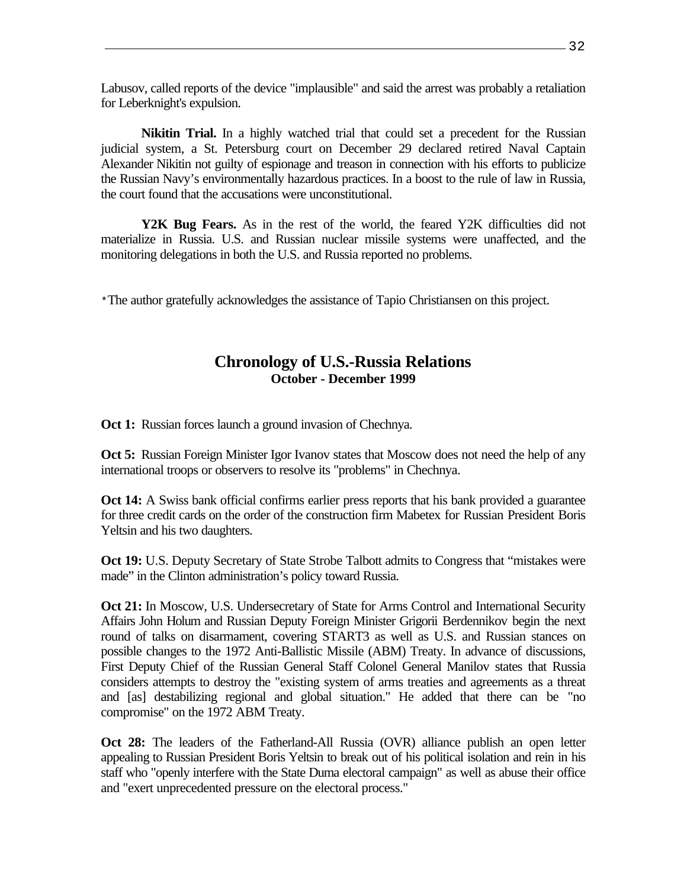Labusov, called reports of the device "implausible" and said the arrest was probably a retaliation for Leberknight's expulsion.

**Nikitin Trial.** In a highly watched trial that could set a precedent for the Russian judicial system, a St. Petersburg court on December 29 declared retired Naval Captain Alexander Nikitin not guilty of espionage and treason in connection with his efforts to publicize the Russian Navy's environmentally hazardous practices. In a boost to the rule of law in Russia, the court found that the accusations were unconstitutional.

**Y2K Bug Fears.** As in the rest of the world, the feared Y2K difficulties did not materialize in Russia. U.S. and Russian nuclear missile systems were unaffected, and the monitoring delegations in both the U.S. and Russia reported no problems.

\*The author gratefully acknowledges the assistance of Tapio Christiansen on this project.

# **Chronology of U.S.-Russia Relations October - December 1999**

**Oct 1:** Russian forces launch a ground invasion of Chechnya.

**Oct 5:** Russian Foreign Minister Igor Ivanov states that Moscow does not need the help of any international troops or observers to resolve its "problems" in Chechnya.

**Oct 14:** A Swiss bank official confirms earlier press reports that his bank provided a guarantee for three credit cards on the order of the construction firm Mabetex for Russian President Boris Yeltsin and his two daughters.

**Oct 19:** U.S. Deputy Secretary of State Strobe Talbott admits to Congress that "mistakes were made" in the Clinton administration's policy toward Russia.

**Oct 21:** In Moscow, U.S. Undersecretary of State for Arms Control and International Security Affairs John Holum and Russian Deputy Foreign Minister Grigorii Berdennikov begin the next round of talks on disarmament, covering START3 as well as U.S. and Russian stances on possible changes to the 1972 Anti-Ballistic Missile (ABM) Treaty. In advance of discussions, First Deputy Chief of the Russian General Staff Colonel General Manilov states that Russia considers attempts to destroy the "existing system of arms treaties and agreements as a threat and [as] destabilizing regional and global situation." He added that there can be "no compromise" on the 1972 ABM Treaty.

**Oct 28:** The leaders of the Fatherland-All Russia (OVR) alliance publish an open letter appealing to Russian President Boris Yeltsin to break out of his political isolation and rein in his staff who "openly interfere with the State Duma electoral campaign" as well as abuse their office and "exert unprecedented pressure on the electoral process."